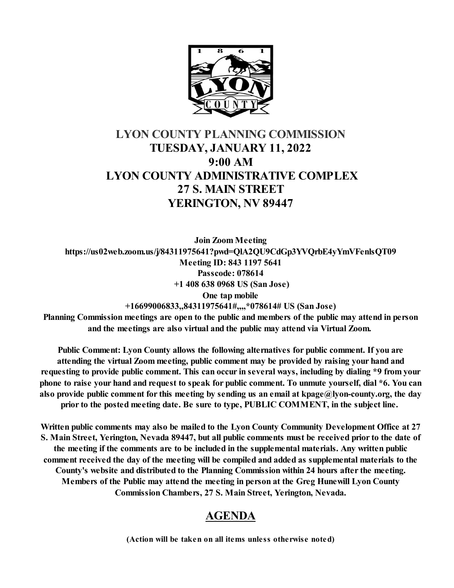

# **LYON COUNTY PLANNING COMMISSION TUESDAY, JANUARY 11, 2022 9:00 AM LYON COUNTY ADMINISTRATIVE COMPLEX 27 S. MAIN STREET YERINGTON, NV 89447**

**Join Zoom Meeting https://us02web.zoom.us/j/84311975641?pwd=QlA2QU9CdGp3YVQrbE4yYmVFenlsQT09 Meeting ID: 843 1197 5641 Passcode: 078614 +1 408 638 0968 US (San Jose) One tap mobile +16699006833,,84311975641#,,,,\*078614# US (San Jose)**

**Planning Commission meetings are open to the public and members of the public may attend in person and the meetings are also virtual and the public may attend via Virtual Zoom.** 

**Public Comment: Lyon County allows the following alternatives for public comment. If you are attending the virtual Zoom meeting, public comment may be provided by raising your hand and requesting to provide public comment. This can occur in several ways, including by dialing \*9 from your phone to raise your hand and request to speak for public comment. To unmute yourself, dial \*6. You can also provide public comment for this meeting by sending us an email at kpage@lyon-county.org, the day prior to the posted meeting date. Be sure to type, PUBLIC COMMENT, in the subject line.** 

**Written public comments may also be mailed to the Lyon County Community Development Office at 27 S. Main Street, Yerington, Nevada 89447, but all public comments must be received prior to the date of the meeting if the comments are to be included in the supplemental materials. Any written public comment received the day of the meeting will be compiled and added as supplemental materials to the County's website and distributed to the Planning Commission within 24 hours after the meeting. Members of the Public may attend the meeting in person at the Greg Hunewill Lyon County Commission Chambers, 27 S. Main Street, Yerington, Nevada.**

## **AGENDA**

**(Action will be taken on all items unless otherwise noted)**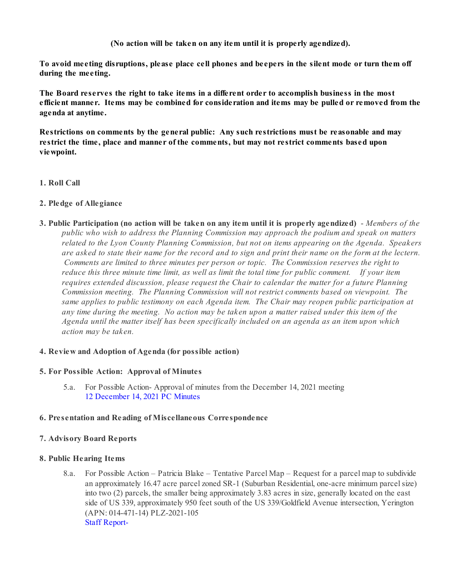**(No action will be taken on any item until it is properly agendized).**

**To avoid meeting disruptions, please place cell phones and beepers in the silent mode or turn them off during the meeting.**

**The Board reserves the right to take items in a different order to accomplish business in the most efficient manner. Items may be combined for consideration and items may be pulled or removed from the agenda at anytime.** 

**Restrictions on comments by the general public: Any such restrictions must be reasonable and may restrict the time, place and manner of the comments, but may not restrict comments based upon viewpoint.**

## **1. Roll Call**

## **2. Pledge of Allegiance**

**3. Public Participation (no action will be taken on any item until it is properly agendized)** - *Members of the public who wish to address the Planning Commission may approach the podium and speak on matters related to the Lyon County Planning Commission, but not on items appearing on the Agenda. Speakers are asked to state their name for the record and to sign and print their name on the form at the lectern. Comments are limited to three minutes per person or topic. The Commission reserves the right to reduce this three minute time limit, as well as limit the total time for public comment. If your item requires extended discussion, please request the Chair to calendar the matter for a future Planning Commission meeting. The Planning Commission will not restrict comments based on viewpoint. The same applies to public testimony on each Agenda item. The Chair may reopen public participation at any time during the meeting. No action may be taken upon a matter raised under this item of the Agenda until the matter itself has been specifically included on an agenda as an item upon which action may be taken.*

## **4. Review and Adoption of Agenda (for possible action)**

## **5. For Possible Action: Approval of Minutes**

5.a. For Possible Action- Approval of minutes from the December 14, 2021 meeting [12 December 14, 2021 PC Minutes](https://legistarweb-production.s3.amazonaws.com/uploads/attachment/pdf/1195063/12_December_14__2021_PC_Minutes-.pdf)

## **6. Presentation and Reading of Miscellaneous Correspondence**

## **7. Advisory Board Reports**

## **8. Public Hearing Items**

8.a. For Possible Action – Patricia Blake – Tentative Parcel Map – Request for a parcel map to subdivide an approximately 16.47 acre parcel zoned SR-1 (Suburban Residential, one-acre minimum parcel size) into two (2) parcels, the smaller being approximately 3.83 acres in size, generally located on the east side of US 339, approximately 950 feet south of the US 339/Goldfield Avenue intersection, Yerington (APN: 014-471-14) PLZ-2021-105 [Staff Report-](https://legistarweb-production.s3.amazonaws.com/uploads/attachment/pdf/1186595/Blkae_TNT_Parcel_Map-_Staff_Report_and_Backup-_PC_01.11.2022.pdf)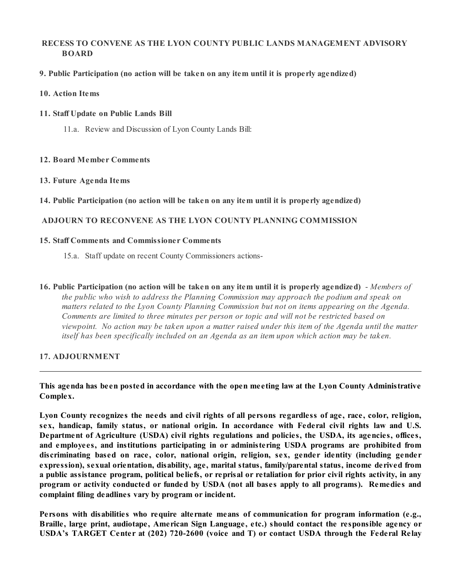## **RECESS TO CONVENE AS THE LYON COUNTY PUBLIC LANDS MANAGEMENT ADVISORY BOARD**

**9. Public Participation (no action will be taken on any item until it is properly agendized)**

## **10. Action Items**

## **11. Staff Update on Public Lands Bill**

11.a. Review and Discussion of Lyon County Lands Bill:

## **12. Board Member Comments**

#### **13. Future Agenda Items**

**14. Public Participation (no action will be taken on any item until it is properly agendized)**

## **ADJOURN TO RECONVENE AS THE LYON COUNTY PLANNING COMMISSION**

## **15. Staff Comments and Commissioner Comments**

- 15.a. Staff update on recent County Commissioners actions-
- **16. Public Participation (no action will be taken on any item until it is properly agendized)** *Members of the public who wish to address the Planning Commission may approach the podium and speak on* matters related to the Lyon County Planning Commission but not on items appearing on the Agenda. *Comments are limited to three minutes per person or topic and will not be restricted based on viewpoint. No action may be taken upon a matter raised under this item of the Agenda until the matter itself has been specifically included on an Agenda as an item upon which action may be taken.*

## **17. ADJOURNMENT**

**This agenda has been posted in accordance with the open meeting law at the Lyon County Administrative Complex.**

**Lyon County recognizes the needs and civil rights of all persons regardless of age, race, color, religion, sex, handicap, family status, or national origin. In accordance with Federal civil rights law and U.S. Department of Agriculture (USDA) civil rights regulations and policies, the USDA, its agencies, offices, and employees, and institutions participating in or administering USDA programs are prohibited from discriminating based on race, color, national origin, religion, sex, gender identity (including gender expression), sexual orientation, disability, age, marital status, family/parental status, income derived from a public assistance program, political beliefs, or reprisal or retaliation for prior civil rights activity, in any program or activity conducted or funded by USDA (not all bases apply to all programs). Remedies and complaint filing deadlines vary by program or incident.**

**Persons with disabilities who require alternate means of communication for program information (e.g., Braille, large print, audiotape, American Sign Language, etc.) should contact the responsible agency or USDA's TARGET Center at (202) 720-2600 (voice and T) or contact USDA through the Federal Relay**